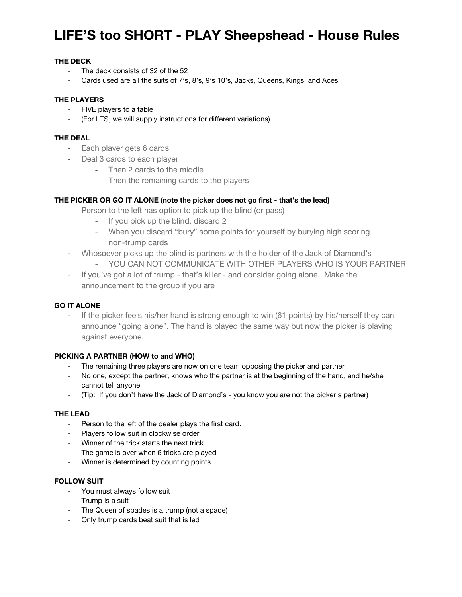## **LIFE'S too SHORT - PLAY Sheepshead - House Rules**

## **THE DECK**

- The deck consists of 32 of the 52
- Cards used are all the suits of 7's, 8's, 9's 10's, Jacks, Queens, Kings, and Aces

#### **THE PLAYERS**

- FIVE players to a table
- (For LTS, we will supply instructions for different variations)

### **THE DEAL**

- Each player gets 6 cards
- Deal 3 cards to each player
	- Then 2 cards to the middle
	- Then the remaining cards to the players

## **THE PICKER OR GO IT ALONE (note the picker does not go first - that's the lead)**

- Person to the left has option to pick up the blind (or pass)
	- If you pick up the blind, discard 2
	- When you discard "bury" some points for yourself by burying high scoring non-trump cards
- Whosoever picks up the blind is partners with the holder of the Jack of Diamond's
	- YOU CAN NOT COMMUNICATE WITH OTHER PLAYERS WHO IS YOUR PARTNER
- If you've got a lot of trump that's killer and consider going alone. Make the announcement to the group if you are

#### **GO IT ALONE**

- If the picker feels his/her hand is strong enough to win (61 points) by his/herself they can announce "going alone". The hand is played the same way but now the picker is playing against everyone.

#### **PICKING A PARTNER (HOW to and WHO)**

- The remaining three players are now on one team opposing the picker and partner
- No one, except the partner, knows who the partner is at the beginning of the hand, and he/she cannot tell anyone
- (Tip: If you don't have the Jack of Diamond's you know you are not the picker's partner)

#### **THE LEAD**

- Person to the left of the dealer plays the first card.
- Players follow suit in clockwise order
- Winner of the trick starts the next trick
- The game is over when 6 tricks are played
- Winner is determined by counting points

## **FOLLOW SUIT**

- You must always follow suit
- Trump is a suit
- The Queen of spades is a trump (not a spade)
- Only trump cards beat suit that is led